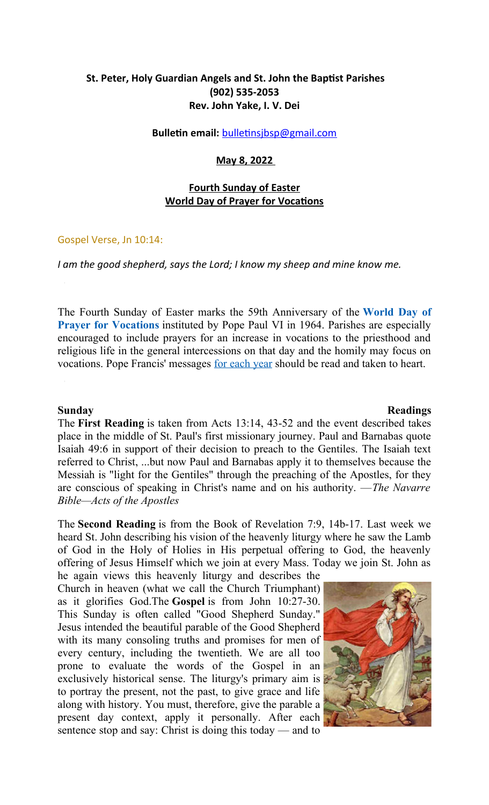# **St. Peter, Holy Guardian Angels and St. John the Baptist Parishes (902) 535-2053 Rev. John Yake, I. V. Dei**

#### **Bulletin email: bulletinsjbsp@gmail.com**

#### **May 8, 2022**

## **Fourth Sunday of Easter World Day of Prayer for Vocatons**

#### Gospel Verse, Jn 10:14:

#### *I am the good shepherd, says the Lord; I know my sheep and mine know me.*

The Fourth Sunday of Easter marks the 59th Anniversary of the **[World Day of](https://www.usccb.org/committees/clergy-consecrated-life-vocations/world-day-prayer-vocations) [Prayer for Vocations](https://www.usccb.org/committees/clergy-consecrated-life-vocations/world-day-prayer-vocations)** instituted by Pope Paul VI in 1964. Parishes are especially encouraged to include prayers for an increase in vocations to the priesthood and religious life in the general intercessions on that day and the homily may focus on vocations. Pope Francis' messages [for each year](https://www.vatican.va/content/francesco/en/messages/vocations.html) should be read and taken to heart.

The **First Reading** is taken from Acts 13:14, 43-52 and the event described takes place in the middle of St. Paul's first missionary journey. Paul and Barnabas quote Isaiah 49:6 in support of their decision to preach to the Gentiles. The Isaiah text referred to Christ, ...but now Paul and Barnabas apply it to themselves because the Messiah is "light for the Gentiles" through the preaching of the Apostles, for they are conscious of speaking in Christ's name and on his authority. —*The Navarre Bible—Acts of the Apostles*

The **Second Reading** is from the Book of Revelation 7:9, 14b-17. Last week we heard St. John describing his vision of the heavenly liturgy where he saw the Lamb of God in the Holy of Holies in His perpetual offering to God, the heavenly offering of Jesus Himself which we join at every Mass. Today we join St. John as

he again views this heavenly liturgy and describes the Church in heaven (what we call the Church Triumphant) as it glorifies God.The **Gospel** is from John 10:27-30. This Sunday is often called "Good Shepherd Sunday." Jesus intended the beautiful parable of the Good Shepherd with its many consoling truths and promises for men of every century, including the twentieth. We are all too prone to evaluate the words of the Gospel in an exclusively historical sense. The liturgy's primary aim is to portray the present, not the past, to give grace and life along with history. You must, therefore, give the parable a present day context, apply it personally. After each sentence stop and say: Christ is doing this today — and to



#### **Sunday Readings**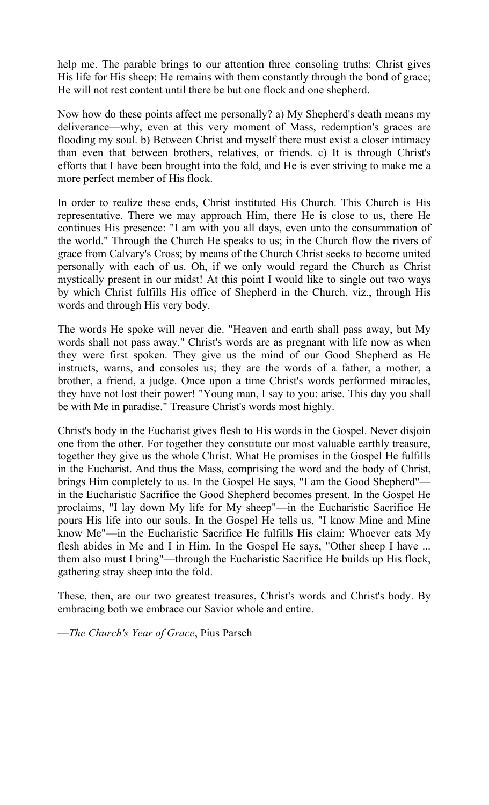help me. The parable brings to our attention three consoling truths: Christ gives His life for His sheep; He remains with them constantly through the bond of grace; He will not rest content until there be but one flock and one shepherd.

Now how do these points affect me personally? a) My Shepherd's death means my deliverance—why, even at this very moment of Mass, redemption's graces are flooding my soul. b) Between Christ and myself there must exist a closer intimacy than even that between brothers, relatives, or friends. c) It is through Christ's efforts that I have been brought into the fold, and He is ever striving to make me a more perfect member of His flock.

In order to realize these ends, Christ instituted His Church. This Church is His representative. There we may approach Him, there He is close to us, there He continues His presence: "I am with you all days, even unto the consummation of the world." Through the Church He speaks to us; in the Church flow the rivers of grace from Calvary's Cross; by means of the Church Christ seeks to become united personally with each of us. Oh, if we only would regard the Church as Christ mystically present in our midst! At this point I would like to single out two ways by which Christ fulfills His office of Shepherd in the Church, viz., through His words and through His very body.

The words He spoke will never die. "Heaven and earth shall pass away, but My words shall not pass away." Christ's words are as pregnant with life now as when they were first spoken. They give us the mind of our Good Shepherd as He instructs, warns, and consoles us; they are the words of a father, a mother, a brother, a friend, a judge. Once upon a time Christ's words performed miracles, they have not lost their power! "Young man, I say to you: arise. This day you shall be with Me in paradise." Treasure Christ's words most highly.

Christ's body in the Eucharist gives flesh to His words in the Gospel. Never disjoin one from the other. For together they constitute our most valuable earthly treasure, together they give us the whole Christ. What He promises in the Gospel He fulfills in the Eucharist. And thus the Mass, comprising the word and the body of Christ, brings Him completely to us. In the Gospel He says, "I am the Good Shepherd" in the Eucharistic Sacrifice the Good Shepherd becomes present. In the Gospel He proclaims, "I lay down My life for My sheep"—in the Eucharistic Sacrifice He pours His life into our souls. In the Gospel He tells us, "I know Mine and Mine know Me"—in the Eucharistic Sacrifice He fulfills His claim: Whoever eats My flesh abides in Me and I in Him. In the Gospel He says, "Other sheep I have ... them also must I bring"—through the Eucharistic Sacrifice He builds up His flock, gathering stray sheep into the fold.

These, then, are our two greatest treasures, Christ's words and Christ's body. By embracing both we embrace our Savior whole and entire.

—*The Church's Year of Grace*, Pius Parsch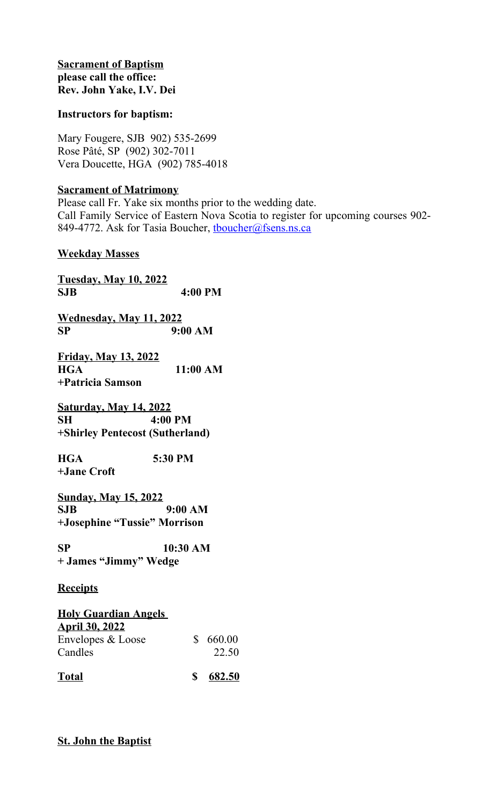## **Sacrament of Baptism please call the office: Rev. John Yake, I.V. Dei**

## **Instructors for baptism:**

Mary Fougere, SJB 902) 535-2699 Rose Pâté, SP (902) 302-7011 Vera Doucette, HGA (902) 785-4018

# **Sacrament of Matrimony**

Please call Fr. Yake six months prior to the wedding date. Call Family Service of Eastern Nova Scotia to register for upcoming courses 902- 849-4772. Ask for Tasia Boucher, thoucher@fsens.ns.ca

# **Weekday Masses**

**Tuesday, May 10, 2022 SJB 4:00 PM Wednesday, May 11, 2022**

**SP 9:00 AM**

**Friday, May 13, 2022 HGA 11:00 AM +Patricia Samson**

**Saturday, May 14, 2022 SH 4:00 PM +Shirley Pentecost (Sutherland)** 

**HGA 5:30 PM +Jane Croft** 

**Sunday, May 15, 2022 SJB 9:00 AM +Josephine "Tussie" Morrison**

**SP 10:30 AM + James "Jimmy" Wedge**

# **Receipts**

| <b>Holy Guardian Angels</b>                |    |        |
|--------------------------------------------|----|--------|
| <b>April 30, 2022</b><br>Envelopes & Loose | S. | 660.00 |
| Candles                                    |    | 22.50  |
| <b>Total</b>                               | К  | 682.50 |

# **St. John the Baptist**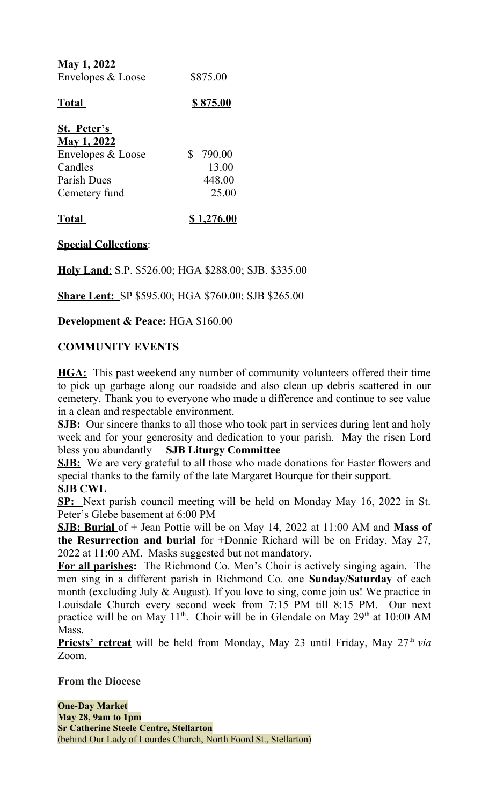| <u>May 1, 2022</u> |          |
|--------------------|----------|
| Envelopes & Loose  | \$875.00 |

# **Total \$ 875.00**

| St. Peter's        |              |        |
|--------------------|--------------|--------|
| <b>May 1, 2022</b> |              |        |
| Envelopes & Loose  | $\mathbf{S}$ | 790.00 |
| Candles            |              | 13.00  |
| Parish Dues        |              | 448.00 |
| Cemetery fund      |              | 25.00  |
|                    |              |        |

# **Total \$ 1,276.00**

# **Special Collections**:

**Holy Land: S.P. \$526.00; HGA \$288.00; SJB. \$335.00** 

**Share Lent:** SP \$595.00; HGA \$760.00; SJB \$265.00

**Development & Peace:** HGA \$160.00

# **COMMUNITY EVENTS**

**HGA:** This past weekend any number of community volunteers offered their time to pick up garbage along our roadside and also clean up debris scattered in our cemetery. Thank you to everyone who made a difference and continue to see value in a clean and respectable environment.

**SJB:** Our sincere thanks to all those who took part in services during lent and holy week and for your generosity and dedication to your parish. May the risen Lord bless you abundantly **SJB Liturgy Committee**

**SJB:** We are very grateful to all those who made donations for Easter flowers and special thanks to the family of the late Margaret Bourque for their support.

# **SJB CWL**

**SP:** Next parish council meeting will be held on Monday May 16, 2022 in St. Peter's Glebe basement at 6:00 PM

**SJB: Burial** of + Jean Pottie will be on May 14, 2022 at 11:00 AM and **Mass of the Resurrection and burial** for +Donnie Richard will be on Friday, May 27, 2022 at 11:00 AM. Masks suggested but not mandatory.

**For all parishes:** The Richmond Co. Men's Choir is actively singing again. The men sing in a different parish in Richmond Co. one **Sunday/Saturday** of each month (excluding July & August). If you love to sing, come join us! We practice in Louisdale Church every second week from 7:15 PM till 8:15 PM. Our next practice will be on May  $11<sup>th</sup>$ . Choir will be in Glendale on May  $29<sup>th</sup>$  at  $10:00$  AM Mass.

Priests' retreat will be held from Monday, May 23 until Friday, May 27<sup>th</sup> via Zoom.

## **From the Diocese**

**One-Day Market May 28, 9am to 1pm Sr Catherine Steele Centre, Stellarton** (behind Our Lady of Lourdes Church, North Foord St., Stellarton)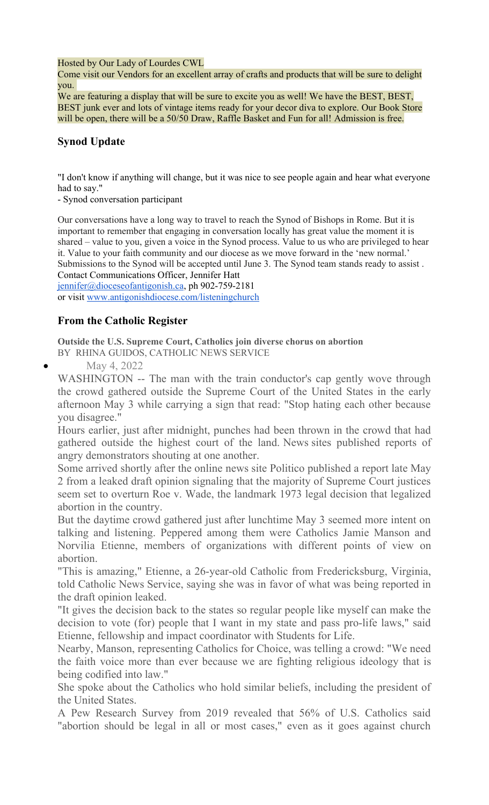Hosted by Our Lady of Lourdes CWL

Come visit our Vendors for an excellent array of crafts and products that will be sure to delight you.

We are featuring a display that will be sure to excite you as well! We have the BEST, BEST, BEST junk ever and lots of vintage items ready for your decor diva to explore. Our Book Store will be open, there will be a 50/50 Draw, Raffle Basket and Fun for all! Admission is free.

# **Synod Update**

"I don't know if anything will change, but it was nice to see people again and hear what everyone had to say."

- Synod conversation participant

Our conversations have a long way to travel to reach the Synod of Bishops in Rome. But it is important to remember that engaging in conversation locally has great value the moment it is shared – value to you, given a voice in the Synod process. Value to us who are privileged to hear it. Value to your faith community and our diocese as we move forward in the 'new normal.' Submissions to the Synod will be accepted until June 3. The Synod team stands ready to assist . Contact Communications Officer, Jennifer Hatt

[jennifer@dioceseofantigonish.ca,](mailto:jennifer@dioceseofantigonish.ca) ph 902-759-2181 or visit [www.antigonishdiocese.com/listeningchurch](http://www.antigonishdiocese.com/listeningchurch)

# **From the Catholic Register**

**Outside the U.S. Supreme Court, Catholics join diverse chorus on abortion**

BY RHINA GUIDOS, CATHOLIC NEWS SERVICE

May 4, 2022

WASHINGTON -- The man with the train conductor's cap gently wove through the crowd gathered outside the Supreme Court of the United States in the early afternoon May 3 while carrying a sign that read: "Stop hating each other because you disagree."

Hours earlier, just after midnight, punches had been thrown in the crowd that had gathered outside the highest court of the land. News sites published reports of angry demonstrators shouting at one another.

Some arrived shortly after the online news site Politico published a report late May 2 from a leaked draft opinion signaling that the majority of Supreme Court justices seem set to overturn Roe v. Wade, the landmark 1973 legal decision that legalized abortion in the country.

But the daytime crowd gathered just after lunchtime May 3 seemed more intent on talking and listening. Peppered among them were Catholics Jamie Manson and Norvilia Etienne, members of organizations with different points of view on abortion.

"This is amazing," Etienne, a 26-year-old Catholic from Fredericksburg, Virginia, told Catholic News Service, saying she was in favor of what was being reported in the draft opinion leaked.

"It gives the decision back to the states so regular people like myself can make the decision to vote (for) people that I want in my state and pass pro-life laws," said Etienne, fellowship and impact coordinator with Students for Life.

Nearby, Manson, representing Catholics for Choice, was telling a crowd: "We need the faith voice more than ever because we are fighting religious ideology that is being codified into law."

She spoke about the Catholics who hold similar beliefs, including the president of the United States.

A Pew Research Survey from 2019 revealed that 56% of U.S. Catholics said "abortion should be legal in all or most cases," even as it goes against church